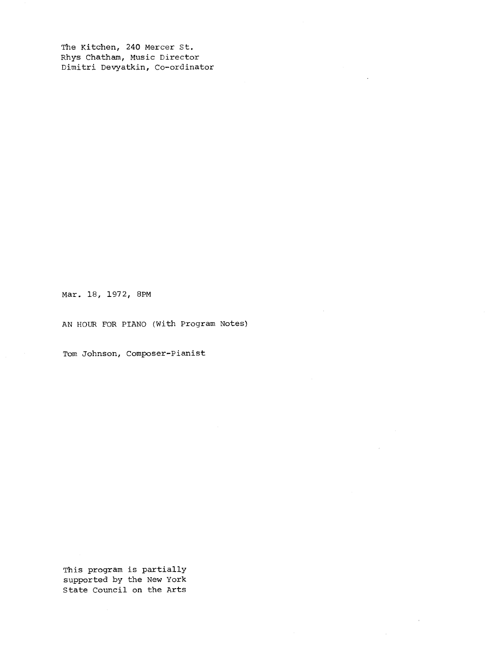The Kitchen, 240 Mercer St. Rhys Chatham, Music Director Dimitri Devyatkin, Co-ordinator

Mar. 18, 1972, 8PM

AN HOUR FOR PIANO (With Program Notes)

Tom Johnson, Composer-Pianist

This program is partially supported by the New York State Council on the Arts

 $\mathcal{A}^{\mathcal{A}}$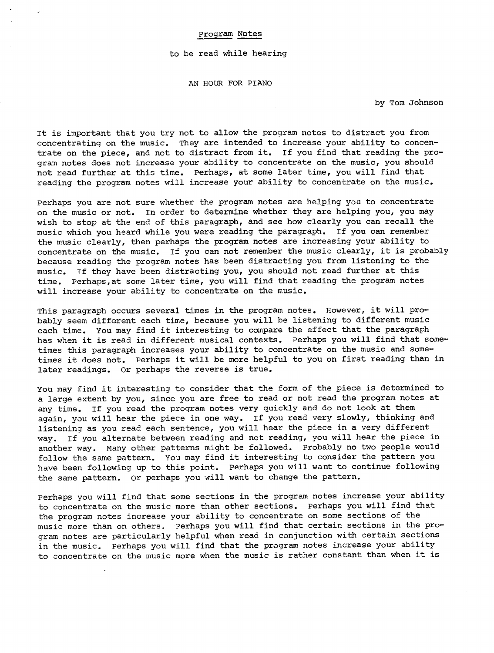## Program Notes

## to be read while hearing

AN HOUR FOR PIANO

by Tom Johnson

It is important that you try not to allow the program notes to distract you from concentrating on the music. They are intended to increase your ability to concentrate on the piece, and not to distract from it. If you find that reading the program notes does not increase your ability to concentrate on the music, you should not read further at this time. Perhaps, at some later time, you will find that reading the program notes will increase your ability to concentrate on the music.

Perhaps you are not sure whether the program notes are helping you to concentrate on the music or not. In order to determine whether they are helping you, you may wish to stop at the end of this paragraph, and see how clearly you can recall the music which you heard while you were reading the paragraph. If you can remember the music clearly, then perhaps the program notes are increasing your ability to concentrate on the music. If you can not remember the music clearly, it is probably because reading the program notes has been distracting you from listening to the music. If they have been distracting you, you should not read further at this time. Perhaps, at some later time, you will find that reading the program notes will increase your ability to concentrate on the music.

This paragraph occurs several times in the program notes. However, it will probably seem different each time, because you will be listening to different music each time. You may find it interesting to compare the effect that the paragraph has when it is read in different musical contexts. Perhaps you will find that sometimes this paragraph increases your ability to concentrate on the music and sometimes it does not. Perhaps it will be more helpful to you on first reading than in later readings. Or perhaps the reverse is true.

You may find it interesting to consider that the form of the piece is determined to a large extent by you, since you are free to read or not read the program notes at any time. If you read the program notes very quickly and do not look at them again, you will hear the piece in one way. If you read very slowly, thinking and listening as you read each sentence, you will hear the piece in a very different way. If you alternate between reading and not reading, you will hear the piece in another way. Many other patterns might be followed. Probably no two people would follow the same pattern. You may find it interesting to consider the pattern you have been following up to this point. Perhaps you will want to continue following the same pattern. Or perhaps you will want to change the pattern.

Perhaps you will find that some sections in the program notes increase your ability to concentrate on the music more than other sections. Perhaps you will find that the program notes increase your ability to concentrate on some sections of the music more than on others. Perhaps you will find that certain sections in the program notes are particularly helpful when read in conjunction with certain sections in the music. Perhaps you will find that the program notes increase your ability to concentrate on the music more when the music is rather constant than when it is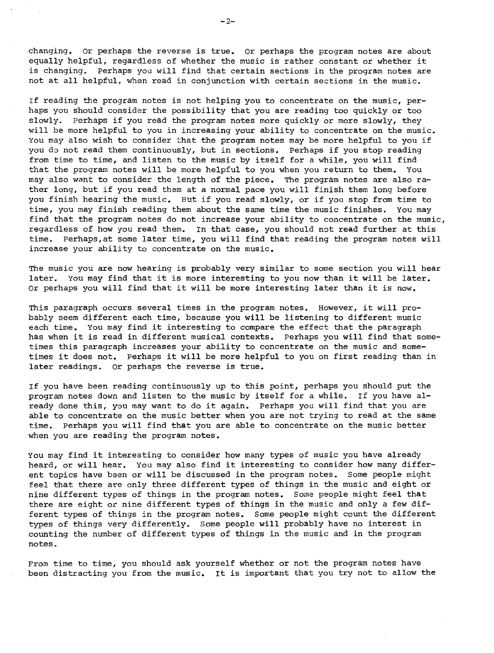changing. Or perhaps the reverse is true. Or perhaps the program notes are about equally helpful, regardless of whether the music is rather constant or whether it is changing. Perhaps you will find that certain sections in the program notes are not at all helpful, when read in conjunction with certain sections in the music .

If reading the program notes is not helping you to concentrate on the music, perhaps you should consider the possibility that you are reading too quickly or too slowly. Perhaps if you read the program notes more quickly or more slowly, they will be more helpful to you in increasing your ability to concentrate on the music. You may also wish to consider that the program notes may be more helpful to you if you do not read them continuously, but in sections. Perhaps if you stop reading from time to time, and listen to the music by itself for a while, you will find that the program notes will be more helpful to you when you return to them. You may also want to consider the length of the piece. The program notes are also rather long, but if you read them at a normal pace you will finish them long before you finish hearing the music. But if you read slowly, or if you stop from time to time, you may finish reading them about the same time the music finishes. You may find that the program notes do not increase your ability to concentrate on the music, regardless of how you read them. In that case, you should not read further at this time. Perhaps, at some later time, you will find that reading the program notes will increase your ability to concentrate on the music .

The music you are now hearing is probably very similar to some section you will hear later. You may find that it is more interesting to you now than it will be later. Or perhaps you will find that it will be more interesting later than it is now.

This paragraph occurs several times in the program notes. However, it will probably seem different each time, because you will be listening to different music each time. You may find it interesting to compare the effect that the paragraph has when it is read in different musical contexts. Perhaps you will find that sometimes this paragraph increases your ability to concentrate on the music and sometimes it does not. Perhaps it will be more helpful to you on first reading than in later readings. Or perhaps the reverse is true.

If you have been reading continuously up to this point, perhaps you should put the program notes down and listen to the music by itself for a while. If you have already done this, you may want to do it again. Perhaps you will find that you are able to concentrate on the music better when you are not trying to read at the same time. Perhaps you will find that you are able to concentrate on the music better when you are reading the program notes .

You may find it interesting to consider how many types of music you have already heard, or will hear. You may also find it interesting to consider how many different topics have been or will be discussed in the program notes. Some people might feel that there are only three different types of things in the music and eight or nine different types of things in the program notes. Some people might feel that there are eight or nine different types of things in the music and only a few different types of things in the program notes. Some people might count the different types of things very differently. Some people will probably have no interest in counting the number of different types of things in the music and in the program notes .

From time to time, you should ask yourself whether or not the program notes have been distracting you from the music. It is important that you try not to allow the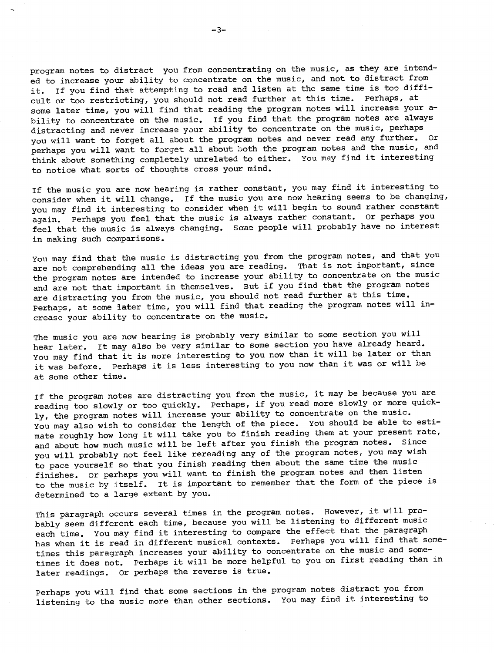program notes to distract you from concentrating on the music, as they are intended to increase your ability to concentrate on the music, and not to distract from it. If you find that attempting to read and listen at the same time is too difficult or too restricting, you should not read further at this time. Perhaps, at some later time, you will find that reading the program notes will increase your ability to concentrate on the music. If you find that the program notes are always distracting and never increase your ability to concentrate on the music, perhaps you will want to forget all about the program notes and never read any further. Or perhaps you will want to forget all about both the program notes and the music, and think about something completely unrelated to either. You may find it interesting to notice what sorts of thoughts cross your mind .

If the music you are now hearing is rather constant, you may find it interesting to consider when it will change. If the music you are now hearing seems to be changing, you may find it interesting to consider when it will begin to sound rather constant again. Perhaps you feel that the music is always rather constant. Or perhaps you feel that the music is always changing. Some people will probably have no interest in making such comparisons .

You may find that the music is distracting you from the program notes, and that you are not comprehending all the ideas you are reading. That is not important, since the program notes are intended to increase your ability to concentrate on the music and are not that important in themselves. But if you find that the program notes are distracting you from the music, you should not read further at this time. Perhaps, at some later time, you will find that reading the program notes will increase your ability to concentrate on the music .

The music you are now hearing is probably very similar to some section you will hear later. It may also be very similar to some section you have already heard. You may find that it is more interesting to you now than it will be later or than it was before. Perhaps it is less interesting to you now than it was or will be at some other time .

If the program notes are distracting you from the music, it may be because you are reading too slowly or too quickly. Perhaps, if you read more slowly or more quickly, the program notes will increase your ability to concentrate on the music. You may also wish to consider the length of the piece. You should be able to estimate roughly how long it will take you to finish reading them at your present rate, and about how much music will be left after you finish the program notes. Since you will probably not feel like rereading any of the program notes, you may wish to pace yourself so that you finish reading them about the same time the music finishes. Or perhaps you will want to finish the program notes and then listen to the music by itself. It is important to remember that the form of the piece is determined to a large extent by you.

This paragraph occurs several times in the program notes. However, it will probably seem different each time, because you will be listening to different music each time. You may find it interesting to compare the effect that the paragraph has when it is read in different musical contexts. Perhaps you will find that sometimes this paragraph increases your ability to concentrate on the music and sometimes it does not. Perhaps it will be more helpful to you on first reading than in later readings. Or perhaps the reverse is true.

Perhaps you will find that some sections in the program notes distract you from listening to the music more than other sections. You may find it interesting to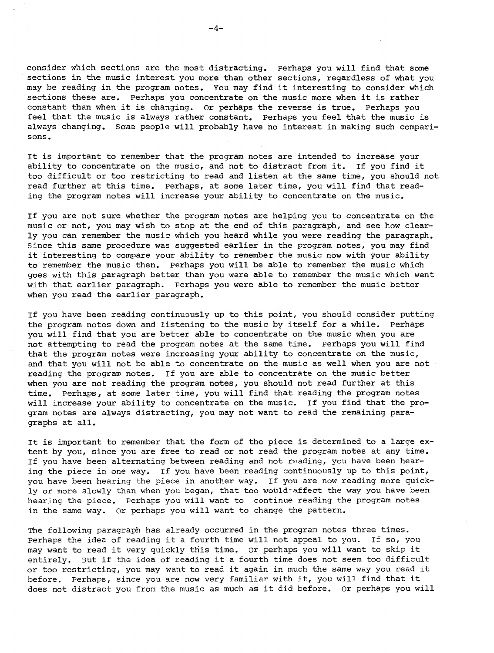consider which sections are the most distracting. Perhaps you will find that some sections in the music interest you more than other sections, regardless of what you may be reading in the program notes. You may find it interesting to consider which sections these are. Perhaps you concentrate on the music more when it is rather constant than when it is changing. Or perhaps the reverse is true. Perhaps you feel that the music is always rather constant. Perhaps you feel that the music is always changing. Some people will probably have no interest in making such comparisons .

It is important to remember that the program notes are intended to increase your ability to concentrate on the music, and not to distract from it. If you find it too difficult or too restricting to read and listen at the same time, you should not read further at this time. Perhaps, at some later time, you will find that reading the program notes will increase your ability to concentrate on the music .

If you are not sure whether the program notes are helping you to concentrate on the music or not, you may wish to stop at the end of this paragraph, and see how clearly you can remember the music which you heard while you were reading the paragraph . Since this same procedure was suggested earlier in the program notes, you may find it interesting to compare your ability to remember the music now with your ability to remember the music then. Perhaps you will be able to remember the music which goes with this paragraph better than you were able to remember the music which went with that earlier paragraph. Perhaps you were able to remember the music better when you read the earlier paragraph.

If you have been reading continuously up to this point, you should consider putting the program notes down and listening to the music by itself for a while. Perhaps you will find that you are better able to concentrate on the music when you are not attempting to read the program notes at the same time. Perhaps you will find that the program notes were increasing your ability to concentrate on the music, and that you will not be able to concentrate on the music as well when you are not reading the program notes. If you are able to concentrate on the music better when you are not reading the program notes, you should not read further at this time. Perhaps, at some later time, you will find that reading the program notes will increase your ability to concentrate on the music. If you find that the program notes are always distracting, you may not want to read the remaining paragraphs at all.

It is important to remember that the form of the piece is determined to a large extent by you, since you are free to read or not read the program notes at any time. If you have been alternating between reading and not reading, you have been hearing the piece in one way. If you have been reading continuously up to this point, you have been hearing the piece in another way. If you are now reading more quickly or more slowly than when you began, that too would affect the way you have been hearing the piece. Perhaps you will want to continue reading the program notes in the same way. Or perhaps you will want to change the pattern.

The following paragraph has already occurred in the program notes three times. Perhaps the idea of reading it a fourth time will not appeal to you. If so, you may want to read it very quickly this time. Or perhaps you will want to skip it entirely. But if the idea of reading it a fourth time does not seem too difficult or too restricting, you may want to read it again in much the same way you read it before. Perhaps, since you are now very familiar with it, you will find that it does not distract you from the music as much as it did before. Or perhaps you will